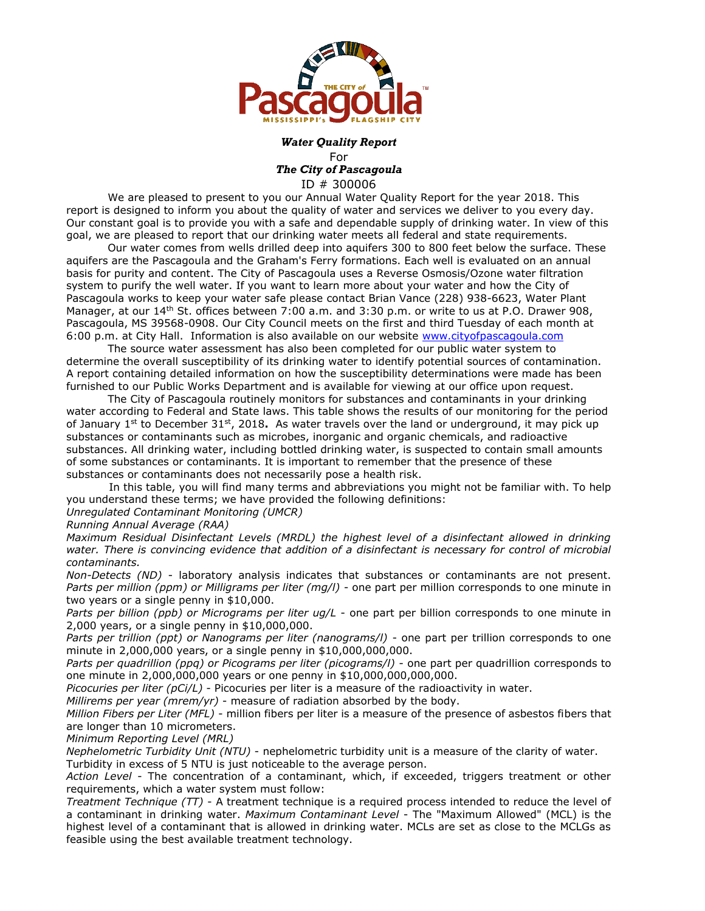

## *Water Quality Report* For *The City of Pascagoula* ID # 300006

We are pleased to present to you our Annual Water Quality Report for the year 2018. This report is designed to inform you about the quality of water and services we deliver to you every day. Our constant goal is to provide you with a safe and dependable supply of drinking water. In view of this goal, we are pleased to report that our drinking water meets all federal and state requirements.

Our water comes from wells drilled deep into aquifers 300 to 800 feet below the surface. These aquifers are the Pascagoula and the Graham's Ferry formations. Each well is evaluated on an annual basis for purity and content. The City of Pascagoula uses a Reverse Osmosis/Ozone water filtration system to purify the well water. If you want to learn more about your water and how the City of Pascagoula works to keep your water safe please contact Brian Vance (228) 938-6623, Water Plant Manager, at our 14<sup>th</sup> St. offices between 7:00 a.m. and 3:30 p.m. or write to us at P.O. Drawer 908, Pascagoula, MS 39568-0908. Our City Council meets on the first and third Tuesday of each month at 6:00 p.m. at City Hall. Information is also available on our website [www.cityofpascagoula.com](http://www.cityofpascagoula.com/)

The source water assessment has also been completed for our public water system to determine the overall susceptibility of its drinking water to identify potential sources of contamination. A report containing detailed information on how the susceptibility determinations were made has been furnished to our Public Works Department and is available for viewing at our office upon request.

The City of Pascagoula routinely monitors for substances and contaminants in your drinking water according to Federal and State laws. This table shows the results of our monitoring for the period of January 1<sup>st</sup> to December 31<sup>st</sup>, 2018. As water travels over the land or underground, it may pick up substances or contaminants such as microbes, inorganic and organic chemicals, and radioactive substances. All drinking water, including bottled drinking water, is suspected to contain small amounts of some substances or contaminants. It is important to remember that the presence of these substances or contaminants does not necessarily pose a health risk.

In this table, you will find many terms and abbreviations you might not be familiar with. To help you understand these terms; we have provided the following definitions:

*Unregulated Contaminant Monitoring (UMCR)*

*Running Annual Average (RAA)*

*Maximum Residual Disinfectant Levels (MRDL) the highest level of a disinfectant allowed in drinking water. There is convincing evidence that addition of a disinfectant is necessary for control of microbial contaminants.* 

*Non-Detects (ND)* - laboratory analysis indicates that substances or contaminants are not present. *Parts per million (ppm) or Milligrams per liter (mg/l)* - one part per million corresponds to one minute in two years or a single penny in \$10,000.

*Parts per billion (ppb) or Micrograms per liter ug/L* - one part per billion corresponds to one minute in 2,000 years, or a single penny in \$10,000,000.

*Parts per trillion (ppt) or Nanograms per liter (nanograms/l)* - one part per trillion corresponds to one minute in 2,000,000 years, or a single penny in \$10,000,000,000.

*Parts per quadrillion (ppq) or Picograms per liter (picograms/l)* - one part per quadrillion corresponds to one minute in 2,000,000,000 years or one penny in \$10,000,000,000,000.

*Picocuries per liter (pCi/L)* - Picocuries per liter is a measure of the radioactivity in water.

*Millirems per year (mrem/yr)* - measure of radiation absorbed by the body.

*Million Fibers per Liter (MFL)* - million fibers per liter is a measure of the presence of asbestos fibers that are longer than 10 micrometers.

*Minimum Reporting Level (MRL)*

*Nephelometric Turbidity Unit (NTU)* - nephelometric turbidity unit is a measure of the clarity of water. Turbidity in excess of 5 NTU is just noticeable to the average person.

*Action Level* - The concentration of a contaminant, which, if exceeded, triggers treatment or other requirements, which a water system must follow:

*Treatment Technique (TT)* - A treatment technique is a required process intended to reduce the level of a contaminant in drinking water. *Maximum Contaminant Level* - The "Maximum Allowed" (MCL) is the highest level of a contaminant that is allowed in drinking water. MCLs are set as close to the MCLGs as feasible using the best available treatment technology.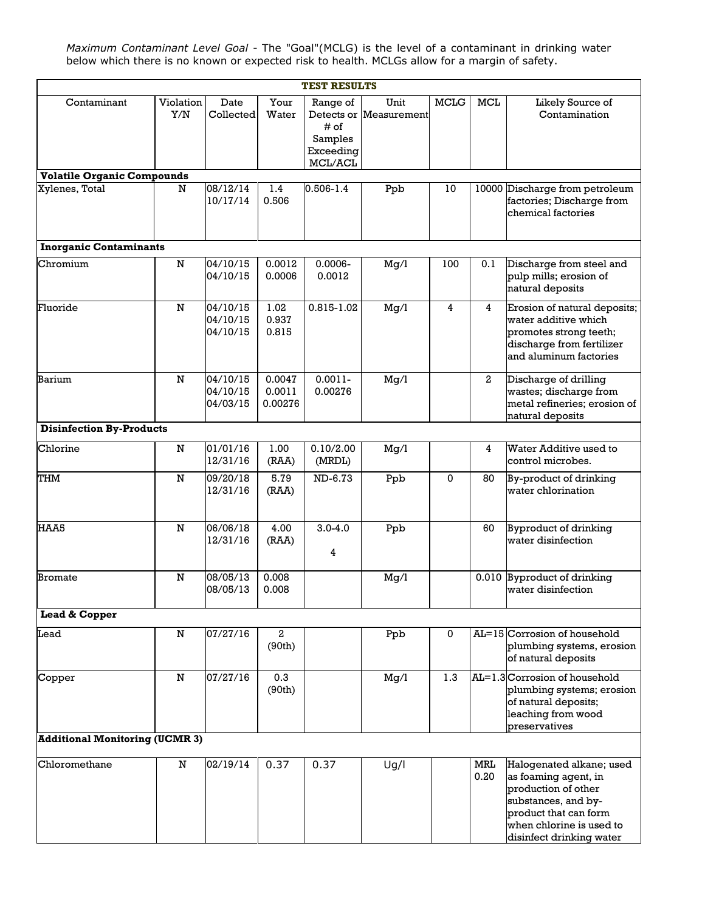*Maximum Contaminant Level Goal* - The "Goal"(MCLG) is the level of a contaminant in drinking water below which there is no known or expected risk to health. MCLGs allow for a margin of safety.

| <b>TEST RESULTS</b>                   |                  |                                  |                             |                                                                         |                     |             |                    |                                                                                                                                                                                 |  |  |  |  |
|---------------------------------------|------------------|----------------------------------|-----------------------------|-------------------------------------------------------------------------|---------------------|-------------|--------------------|---------------------------------------------------------------------------------------------------------------------------------------------------------------------------------|--|--|--|--|
| Contaminant                           | Violation<br>Y/N | Date<br>Collected                | Your<br>Water               | Range of<br>Detects or<br># of<br>Samples<br>Exceeding<br>$\rm MCL/ACL$ | Unit<br>Measurement | <b>MCLG</b> | <b>MCL</b>         | Likely Source of<br>Contamination                                                                                                                                               |  |  |  |  |
| <b>Volatile Organic Compounds</b>     |                  |                                  |                             |                                                                         |                     |             |                    |                                                                                                                                                                                 |  |  |  |  |
| Xylenes, Total                        | N                | 08/12/14<br>10/17/14             | 1.4<br>0.506                | $0.506 - 1.4$                                                           | Ppb                 | 10          | 10000              | Discharge from petroleum<br>factories; Discharge from<br>chemical factories                                                                                                     |  |  |  |  |
| <b>Inorganic Contaminants</b>         |                  |                                  |                             |                                                                         |                     |             |                    |                                                                                                                                                                                 |  |  |  |  |
| Chromium                              | ${\bf N}$        | 04/10/15<br>04/10/15             | 0.0012<br>0.0006            | $0.0006 -$<br>0.0012                                                    | Mg/l                | 100         | 0.1                | Discharge from steel and<br>pulp mills; erosion of<br>natural deposits                                                                                                          |  |  |  |  |
| Fluoride                              | ${\bf N}$        | 04/10/15<br>04/10/15<br>04/10/15 | 1.02<br>0.937<br>0.815      | 0.815-1.02                                                              | Mg/1                | 4           | 4                  | Erosion of natural deposits;<br>water additive which<br>promotes strong teeth;<br>discharge from fertilizer<br>and aluminum factories                                           |  |  |  |  |
| Barium                                | N                | 04/10/15<br>04/10/15<br>04/03/15 | 0.0047<br>0.0011<br>0.00276 | $0.0011 -$<br>0.00276                                                   | Mg/1                |             | $\mathbf{2}$       | Discharge of drilling<br>wastes; discharge from<br>metal refineries; erosion of<br>natural deposits                                                                             |  |  |  |  |
| <b>Disinfection By-Products</b>       |                  |                                  |                             |                                                                         |                     |             |                    |                                                                                                                                                                                 |  |  |  |  |
| Chlorine                              | ${\bf N}$        | 01/01/16<br>12/31/16             | 1.00<br>(RAA)               | 0.10/2.00<br>(MRDL)                                                     | Mg/1                |             | 4                  | Water Additive used to<br>control microbes.                                                                                                                                     |  |  |  |  |
| <b>THM</b>                            | ${\bf N}$        | 09/20/18<br>12/31/16             | 5.79<br>(RAA)               | ND-6.73                                                                 | Ppb                 | $\Omega$    | 80                 | By-product of drinking<br>water chlorination                                                                                                                                    |  |  |  |  |
| HAA5                                  | N                | 06/06/18<br>12/31/16             | 4.00<br>(RAA)               | $3.0 - 4.0$<br>4                                                        | Ppb                 |             | 60                 | Byproduct of drinking<br>water disinfection                                                                                                                                     |  |  |  |  |
| <b>Bromate</b>                        | N                | 08/05/13<br>08/05/13             | 0.008<br>0.008              |                                                                         | Mg/l                |             | 0.010              | Byproduct of drinking<br>water disinfection                                                                                                                                     |  |  |  |  |
| Lead & Copper                         |                  |                                  |                             |                                                                         |                     |             |                    |                                                                                                                                                                                 |  |  |  |  |
| Lead                                  | N                | 07/27/16                         | $\mathbf{2}$<br>(90th)      |                                                                         | Ppb                 | $\mathbf 0$ |                    | AL=15 Corrosion of household<br>plumbing systems, erosion<br>of natural deposits                                                                                                |  |  |  |  |
| Copper                                | $\mathbf N$      | 07/27/16                         | 0.3<br>(90th)               |                                                                         | Mg/1                | 1.3         |                    | $AL=1.3$ Corrosion of household<br>plumbing systems; erosion<br>of natural deposits;<br>leaching from wood<br>preservatives                                                     |  |  |  |  |
| <b>Additional Monitoring (UCMR 3)</b> |                  |                                  |                             |                                                                         |                     |             |                    |                                                                                                                                                                                 |  |  |  |  |
| Chloromethane                         | N                | 02/19/14                         | 0.37                        | 0.37                                                                    | Ug/I                |             | <b>MRL</b><br>0.20 | Halogenated alkane; used<br>as foaming agent, in<br>production of other<br>substances, and by-<br>product that can form<br>when chlorine is used to<br>disinfect drinking water |  |  |  |  |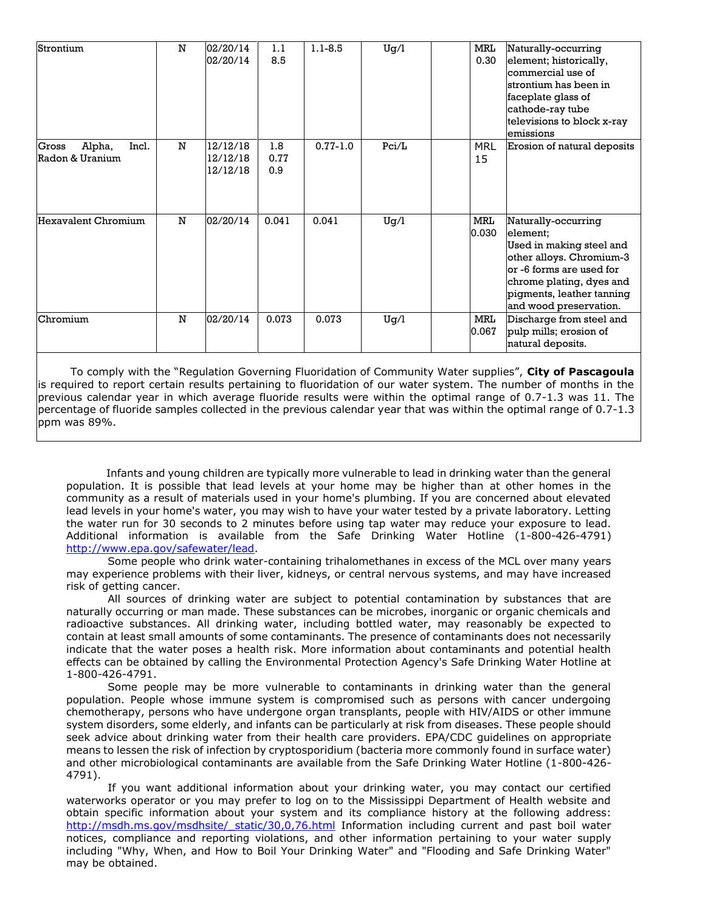| Strontium                       | N | 02/20/14 | 1.1   | $1.1 - 8.5$  | Uq/l  | <b>MRL</b> | Naturally-occurring         |
|---------------------------------|---|----------|-------|--------------|-------|------------|-----------------------------|
|                                 |   | 02/20/14 | 8.5   |              |       | 0.30       | element; historically,      |
|                                 |   |          |       |              |       |            | commercial use of           |
|                                 |   |          |       |              |       |            | strontium has been in       |
|                                 |   |          |       |              |       |            | faceplate glass of          |
|                                 |   |          |       |              |       |            | cathode-ray tube            |
|                                 |   |          |       |              |       |            | televisions to block x-ray  |
|                                 |   |          |       |              |       |            | lemissions                  |
| Incl.<br>Alpha,<br><b>Gross</b> | N | 12/12/18 | 1.8   | $0.77 - 1.0$ | Pci/L | <b>MRL</b> | Erosion of natural deposits |
| Radon & Uranium                 |   | 12/12/18 | 0.77  |              |       | 15         |                             |
|                                 |   | 12/12/18 | 0.9   |              |       |            |                             |
|                                 |   |          |       |              |       |            |                             |
|                                 |   |          |       |              |       |            |                             |
|                                 |   |          |       |              |       |            |                             |
| Hexavalent Chromium             | N | 02/20/14 | 0.041 | 0.041        | Ug/l  | MRL        | Naturally-occurring         |
|                                 |   |          |       |              |       | 0.030      | element:                    |
|                                 |   |          |       |              |       |            | Used in making steel and    |
|                                 |   |          |       |              |       |            | other alloys. Chromium-3    |
|                                 |   |          |       |              |       |            | lor -6 forms are used for   |
|                                 |   |          |       |              |       |            | chrome plating, dyes and    |
|                                 |   |          |       |              |       |            | pigments, leather tanning   |
|                                 |   |          |       |              |       |            | and wood preservation.      |
| Chromium                        | N | 02/20/14 | 0.073 | 0.073        | Ug/l  | MRL        | Discharge from steel and    |
|                                 |   |          |       |              |       | 0.067      | pulp mills; erosion of      |
|                                 |   |          |       |              |       |            | natural deposits.           |
|                                 |   |          |       |              |       |            |                             |

 To comply with the "Regulation Governing Fluoridation of Community Water supplies", **City of Pascagoula**  is required to report certain results pertaining to fluoridation of our water system. The number of months in the previous calendar year in which average fluoride results were within the optimal range of 0.7-1.3 was 11. The percentage of fluoride samples collected in the previous calendar year that was within the optimal range of 0.7-1.3 ppm was 89%.

 Infants and young children are typically more vulnerable to lead in drinking water than the general population. It is possible that lead levels at your home may be higher than at other homes in the community as a result of materials used in your home's plumbing. If you are concerned about elevated lead levels in your home's water, you may wish to have your water tested by a private laboratory. Letting the water run for 30 seconds to 2 minutes before using tap water may reduce your exposure to lead. Additional information is available from the Safe Drinking Water Hotline (1-800-426-4791) [http://www.epa.gov/safewater/lead.](http://www.epa.gov/safewater/lead)

Some people who drink water-containing trihalomethanes in excess of the MCL over many years may experience problems with their liver, kidneys, or central nervous systems, and may have increased risk of getting cancer.

All sources of drinking water are subject to potential contamination by substances that are naturally occurring or man made. These substances can be microbes, inorganic or organic chemicals and radioactive substances. All drinking water, including bottled water, may reasonably be expected to contain at least small amounts of some contaminants. The presence of contaminants does not necessarily indicate that the water poses a health risk. More information about contaminants and potential health effects can be obtained by calling the Environmental Protection Agency's Safe Drinking Water Hotline at 1-800-426-4791.

Some people may be more vulnerable to contaminants in drinking water than the general population. People whose immune system is compromised such as persons with cancer undergoing chemotherapy, persons who have undergone organ transplants, people with HIV/AIDS or other immune system disorders, some elderly, and infants can be particularly at risk from diseases. These people should seek advice about drinking water from their health care providers. EPA/CDC guidelines on appropriate means to lessen the risk of infection by cryptosporidium (bacteria more commonly found in surface water) and other microbiological contaminants are available from the Safe Drinking Water Hotline (1-800-426- 4791).

If you want additional information about your drinking water, you may contact our certified waterworks operator or you may prefer to log on to the Mississippi Department of Health website and obtain specific information about your system and its compliance history at the following address: http://msdh.ms.gov/msdhsite/ static/30,0,76.html Information including current and past boil water notices, compliance and reporting violations, and other information pertaining to your water supply including "Why, When, and How to Boil Your Drinking Water" and "Flooding and Safe Drinking Water" may be obtained.